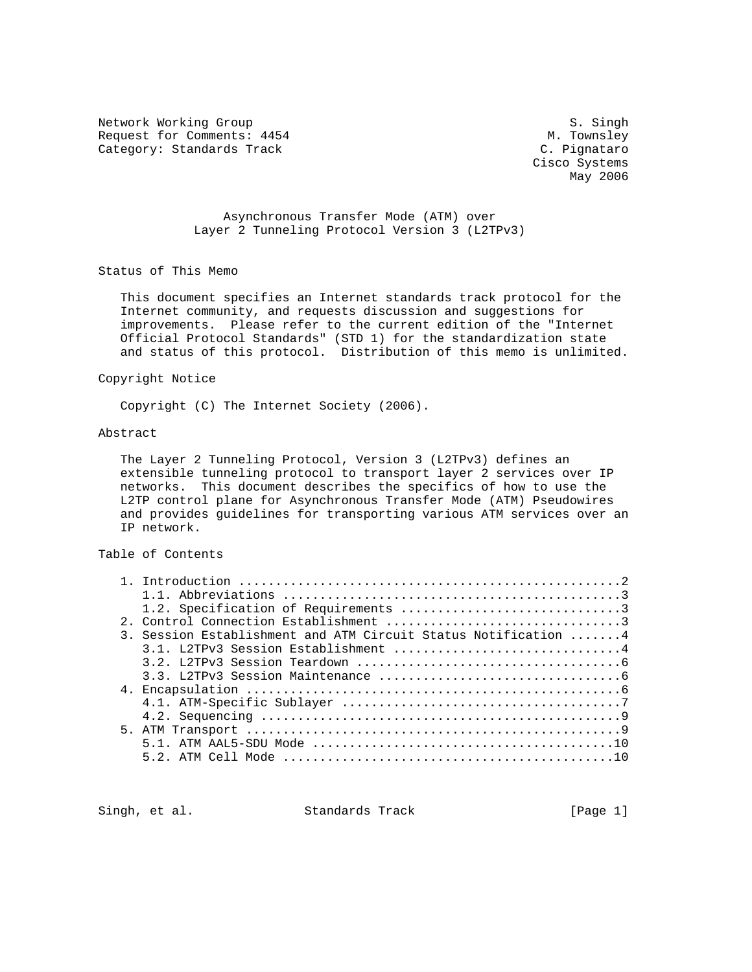Network Working Group<br>Request for Comments: 4454 M. Townsley Request for Comments: 4454 M. Townsley M. Townsley<br>
Category: Standards Track M. C. Pignataro Category: Standards Track

 Cisco Systems May 2006

 Asynchronous Transfer Mode (ATM) over Layer 2 Tunneling Protocol Version 3 (L2TPv3)

Status of This Memo

 This document specifies an Internet standards track protocol for the Internet community, and requests discussion and suggestions for improvements. Please refer to the current edition of the "Internet Official Protocol Standards" (STD 1) for the standardization state and status of this protocol. Distribution of this memo is unlimited.

#### Copyright Notice

Copyright (C) The Internet Society (2006).

## Abstract

 The Layer 2 Tunneling Protocol, Version 3 (L2TPv3) defines an extensible tunneling protocol to transport layer 2 services over IP networks. This document describes the specifics of how to use the L2TP control plane for Asynchronous Transfer Mode (ATM) Pseudowires and provides guidelines for transporting various ATM services over an IP network.

## Table of Contents

| 3. Session Establishment and ATM Circuit Status Notification 4 |
|----------------------------------------------------------------|
|                                                                |
|                                                                |
|                                                                |
|                                                                |
|                                                                |
|                                                                |
|                                                                |
|                                                                |
|                                                                |
|                                                                |

Singh, et al. Standards Track [Page 1]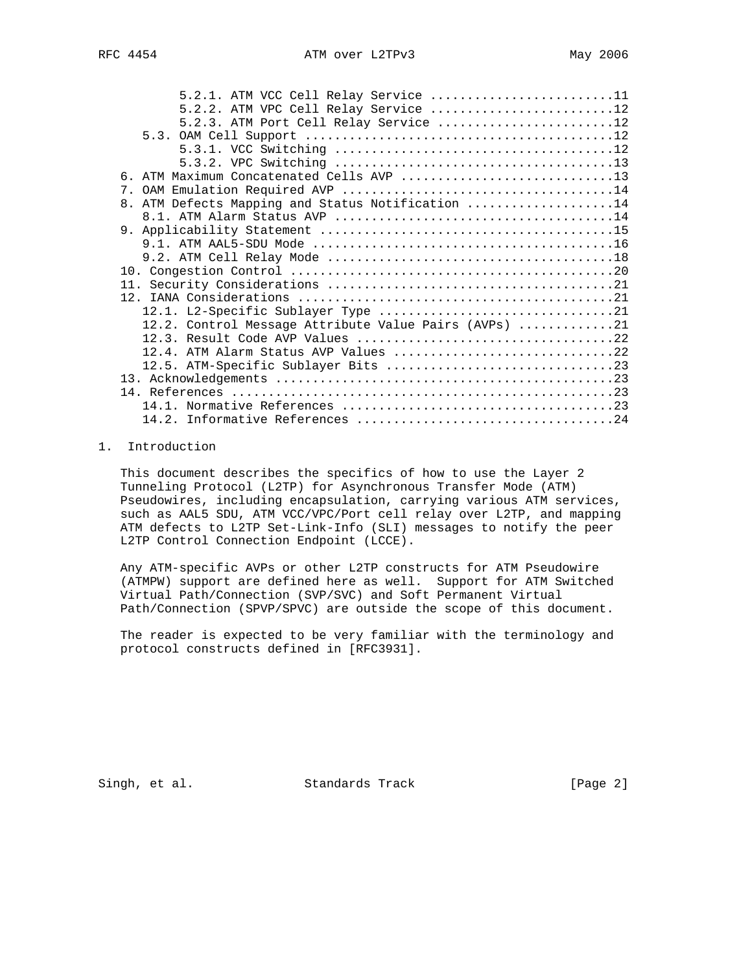|                | $5.2.1.$ ATM VCC Cell Relay Service 11                |  |
|----------------|-------------------------------------------------------|--|
|                | 5.2.2. ATM VPC Cell Relay Service 12                  |  |
|                | 5.2.3. ATM Port Cell Relay Service 12                 |  |
|                |                                                       |  |
|                |                                                       |  |
|                |                                                       |  |
| რ.             | ATM Maximum Concatenated Cells AVP 13                 |  |
|                |                                                       |  |
| 8 <sub>1</sub> | ATM Defects Mapping and Status Notification 14        |  |
|                |                                                       |  |
|                |                                                       |  |
|                |                                                       |  |
|                |                                                       |  |
|                |                                                       |  |
|                |                                                       |  |
|                |                                                       |  |
|                |                                                       |  |
|                | 12.2. Control Message Attribute Value Pairs (AVPs) 21 |  |
|                |                                                       |  |
|                | 12.4. ATM Alarm Status AVP Values 22                  |  |
|                |                                                       |  |
|                |                                                       |  |
|                |                                                       |  |
|                |                                                       |  |
|                |                                                       |  |

## 1. Introduction

 This document describes the specifics of how to use the Layer 2 Tunneling Protocol (L2TP) for Asynchronous Transfer Mode (ATM) Pseudowires, including encapsulation, carrying various ATM services, such as AAL5 SDU, ATM VCC/VPC/Port cell relay over L2TP, and mapping ATM defects to L2TP Set-Link-Info (SLI) messages to notify the peer L2TP Control Connection Endpoint (LCCE).

 Any ATM-specific AVPs or other L2TP constructs for ATM Pseudowire (ATMPW) support are defined here as well. Support for ATM Switched Virtual Path/Connection (SVP/SVC) and Soft Permanent Virtual Path/Connection (SPVP/SPVC) are outside the scope of this document.

 The reader is expected to be very familiar with the terminology and protocol constructs defined in [RFC3931].

Singh, et al. Standards Track [Page 2]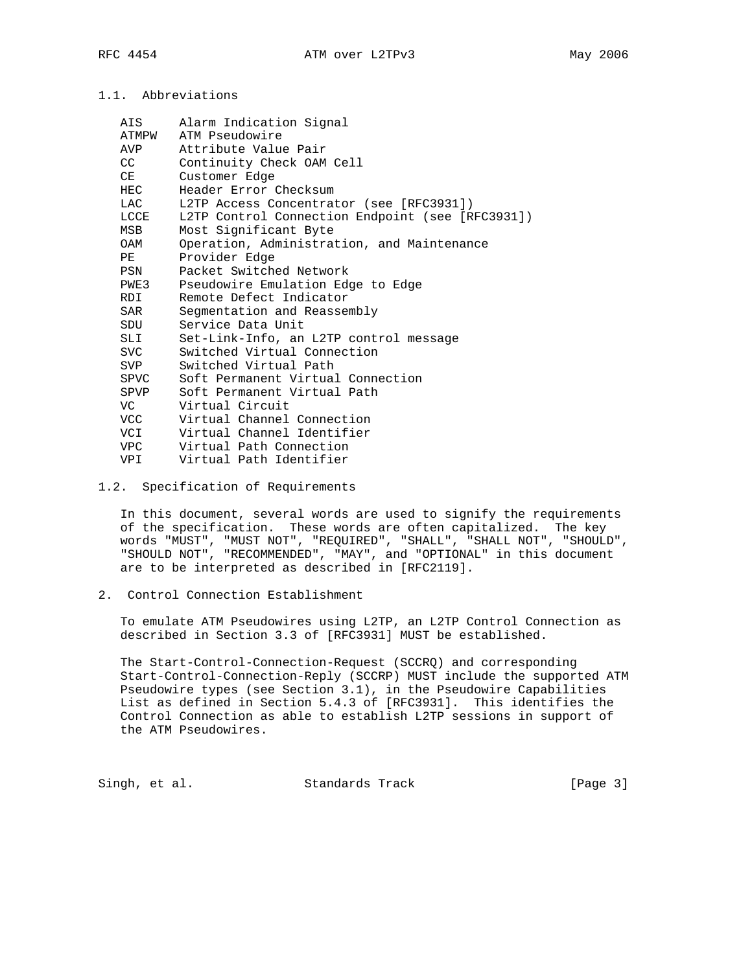# 1.1. Abbreviations

| AIS  | Alarm Indication Signal                          |
|------|--------------------------------------------------|
|      | ATMPW ATM Pseudowire                             |
| AVP  | Attribute Value Pair                             |
| CC   | Continuity Check OAM Cell                        |
| CE   | Customer Edge                                    |
| HEC  | Header Error Checksum                            |
| LAC  | L2TP Access Concentrator (see [RFC3931])         |
| LCCE | L2TP Control Connection Endpoint (see [RFC3931]) |
| MSB  | Most Significant Byte                            |
| OAM  | Operation, Administration, and Maintenance       |
| PE   | Provider Edge                                    |
| PSN  | Packet Switched Network                          |
| PWE3 | Pseudowire Emulation Edge to Edge                |
| RDI  | Remote Defect Indicator                          |
| SAR  | Segmentation and Reassembly                      |
| SDU  | Service Data Unit                                |
| SLI  | Set-Link-Info, an L2TP control message           |
| SVC  | Switched Virtual Connection                      |
| SVP  | Switched Virtual Path                            |
| SPVC | Soft Permanent Virtual Connection                |
| SPVP | Soft Permanent Virtual Path                      |
| VC   | Virtual Circuit                                  |
| VCC  | Virtual Channel Connection                       |
| VCI  | Virtual Channel Identifier                       |
| VPC  | Virtual Path Connection                          |
| VPI  | Virtual Path Identifier                          |

1.2. Specification of Requirements

 In this document, several words are used to signify the requirements of the specification. These words are often capitalized. The key words "MUST", "MUST NOT", "REQUIRED", "SHALL", "SHALL NOT", "SHOULD", "SHOULD NOT", "RECOMMENDED", "MAY", and "OPTIONAL" in this document are to be interpreted as described in [RFC2119].

2. Control Connection Establishment

 To emulate ATM Pseudowires using L2TP, an L2TP Control Connection as described in Section 3.3 of [RFC3931] MUST be established.

 The Start-Control-Connection-Request (SCCRQ) and corresponding Start-Control-Connection-Reply (SCCRP) MUST include the supported ATM Pseudowire types (see Section 3.1), in the Pseudowire Capabilities List as defined in Section 5.4.3 of [RFC3931]. This identifies the Control Connection as able to establish L2TP sessions in support of the ATM Pseudowires.

Singh, et al. Standards Track [Page 3]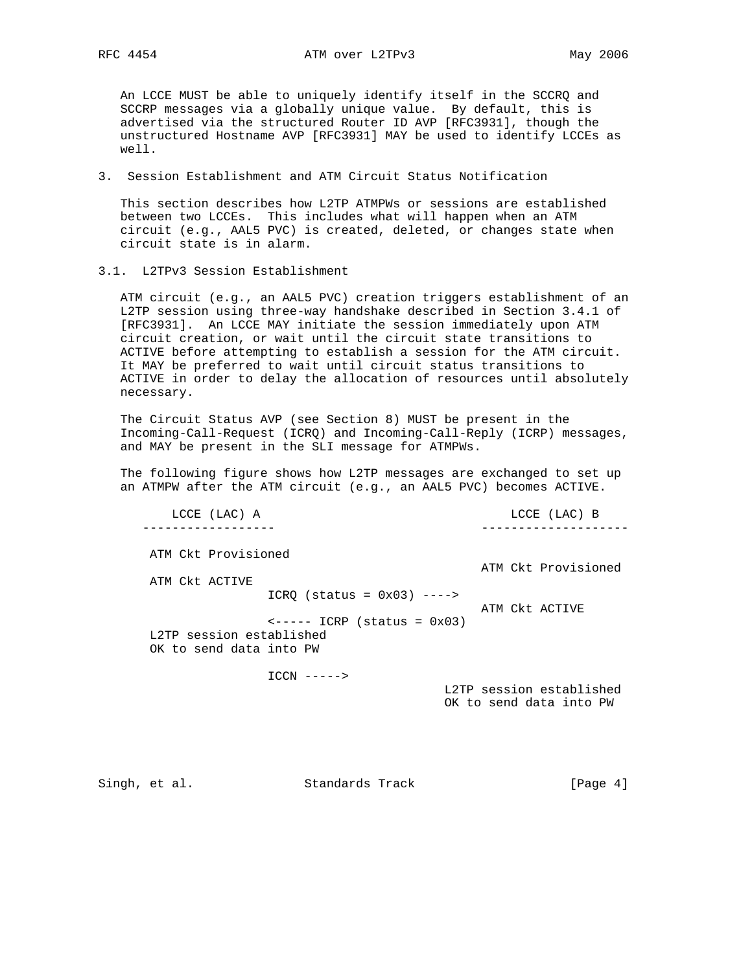An LCCE MUST be able to uniquely identify itself in the SCCRQ and SCCRP messages via a globally unique value. By default, this is advertised via the structured Router ID AVP [RFC3931], though the unstructured Hostname AVP [RFC3931] MAY be used to identify LCCEs as well.

3. Session Establishment and ATM Circuit Status Notification

 This section describes how L2TP ATMPWs or sessions are established between two LCCEs. This includes what will happen when an ATM circuit (e.g., AAL5 PVC) is created, deleted, or changes state when circuit state is in alarm.

3.1. L2TPv3 Session Establishment

 ATM circuit (e.g., an AAL5 PVC) creation triggers establishment of an L2TP session using three-way handshake described in Section 3.4.1 of [RFC3931]. An LCCE MAY initiate the session immediately upon ATM circuit creation, or wait until the circuit state transitions to ACTIVE before attempting to establish a session for the ATM circuit. It MAY be preferred to wait until circuit status transitions to ACTIVE in order to delay the allocation of resources until absolutely necessary.

 The Circuit Status AVP (see Section 8) MUST be present in the Incoming-Call-Request (ICRQ) and Incoming-Call-Reply (ICRP) messages, and MAY be present in the SLI message for ATMPWs.

 The following figure shows how L2TP messages are exchanged to set up an ATMPW after the ATM circuit (e.g., an AAL5 PVC) becomes ACTIVE.

 LCCE (LAC) A LCCE (LAC) B ------------------ -------------------- ATM Ckt Provisioned ATM Ckt Provisioned ATM Ckt ACTIVE  $ICRQ$  (status =  $0x03$ ) ----> ATM Ckt ACTIVE  $\leftarrow---$  ICRP (status =  $0x03$ ) L2TP session established OK to send data into PW ICCN -----> L2TP session established OK to send data into PW

Singh, et al. Standards Track [Page 4]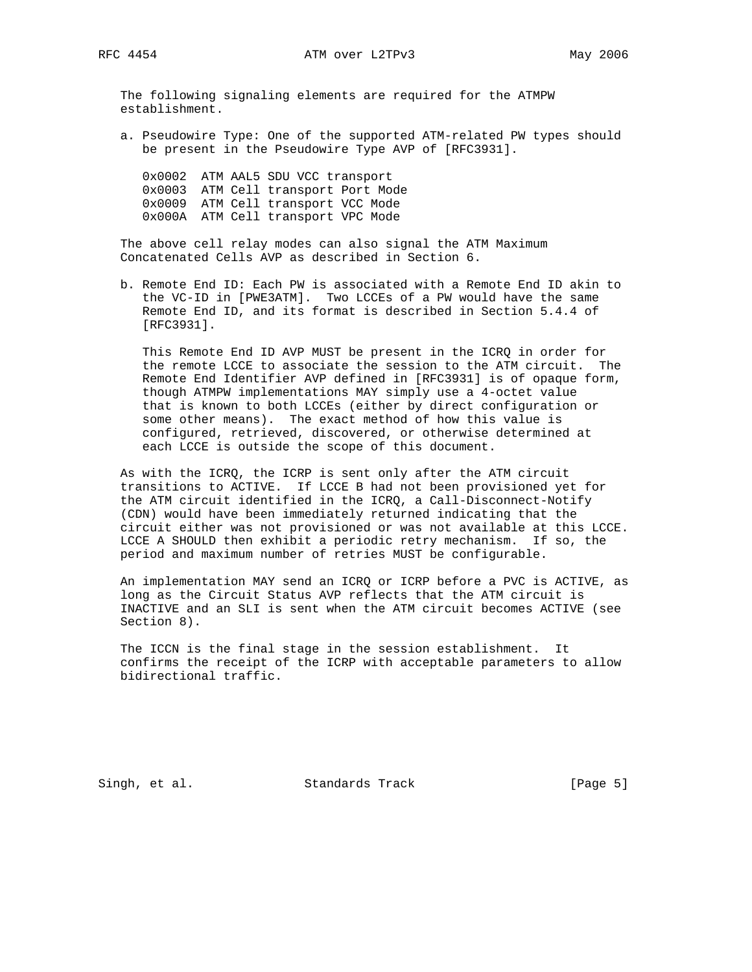The following signaling elements are required for the ATMPW establishment.

 a. Pseudowire Type: One of the supported ATM-related PW types should be present in the Pseudowire Type AVP of [RFC3931].

 0x0002 ATM AAL5 SDU VCC transport 0x0003 ATM Cell transport Port Mode 0x0009 ATM Cell transport VCC Mode 0x000A ATM Cell transport VPC Mode

 The above cell relay modes can also signal the ATM Maximum Concatenated Cells AVP as described in Section 6.

 b. Remote End ID: Each PW is associated with a Remote End ID akin to the VC-ID in [PWE3ATM]. Two LCCEs of a PW would have the same Remote End ID, and its format is described in Section 5.4.4 of [RFC3931].

 This Remote End ID AVP MUST be present in the ICRQ in order for the remote LCCE to associate the session to the ATM circuit. The Remote End Identifier AVP defined in [RFC3931] is of opaque form, though ATMPW implementations MAY simply use a 4-octet value that is known to both LCCEs (either by direct configuration or some other means). The exact method of how this value is configured, retrieved, discovered, or otherwise determined at each LCCE is outside the scope of this document.

 As with the ICRQ, the ICRP is sent only after the ATM circuit transitions to ACTIVE. If LCCE B had not been provisioned yet for the ATM circuit identified in the ICRQ, a Call-Disconnect-Notify (CDN) would have been immediately returned indicating that the circuit either was not provisioned or was not available at this LCCE. LCCE A SHOULD then exhibit a periodic retry mechanism. If so, the period and maximum number of retries MUST be configurable.

 An implementation MAY send an ICRQ or ICRP before a PVC is ACTIVE, as long as the Circuit Status AVP reflects that the ATM circuit is INACTIVE and an SLI is sent when the ATM circuit becomes ACTIVE (see Section 8).

 The ICCN is the final stage in the session establishment. It confirms the receipt of the ICRP with acceptable parameters to allow bidirectional traffic.

Singh, et al. Standards Track [Page 5]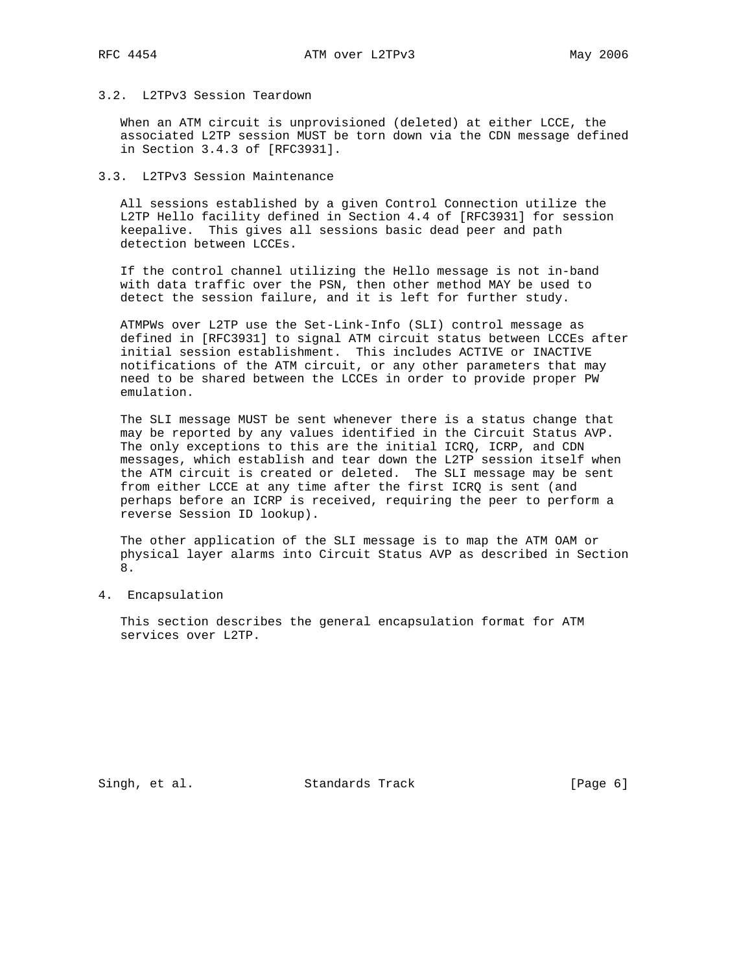## 3.2. L2TPv3 Session Teardown

 When an ATM circuit is unprovisioned (deleted) at either LCCE, the associated L2TP session MUST be torn down via the CDN message defined in Section 3.4.3 of [RFC3931].

## 3.3. L2TPv3 Session Maintenance

 All sessions established by a given Control Connection utilize the L2TP Hello facility defined in Section 4.4 of [RFC3931] for session keepalive. This gives all sessions basic dead peer and path detection between LCCEs.

 If the control channel utilizing the Hello message is not in-band with data traffic over the PSN, then other method MAY be used to detect the session failure, and it is left for further study.

 ATMPWs over L2TP use the Set-Link-Info (SLI) control message as defined in [RFC3931] to signal ATM circuit status between LCCEs after initial session establishment. This includes ACTIVE or INACTIVE notifications of the ATM circuit, or any other parameters that may need to be shared between the LCCEs in order to provide proper PW emulation.

 The SLI message MUST be sent whenever there is a status change that may be reported by any values identified in the Circuit Status AVP. The only exceptions to this are the initial ICRQ, ICRP, and CDN messages, which establish and tear down the L2TP session itself when the ATM circuit is created or deleted. The SLI message may be sent from either LCCE at any time after the first ICRQ is sent (and perhaps before an ICRP is received, requiring the peer to perform a reverse Session ID lookup).

 The other application of the SLI message is to map the ATM OAM or physical layer alarms into Circuit Status AVP as described in Section 8.

4. Encapsulation

 This section describes the general encapsulation format for ATM services over L2TP.

Singh, et al. Standards Track [Page 6]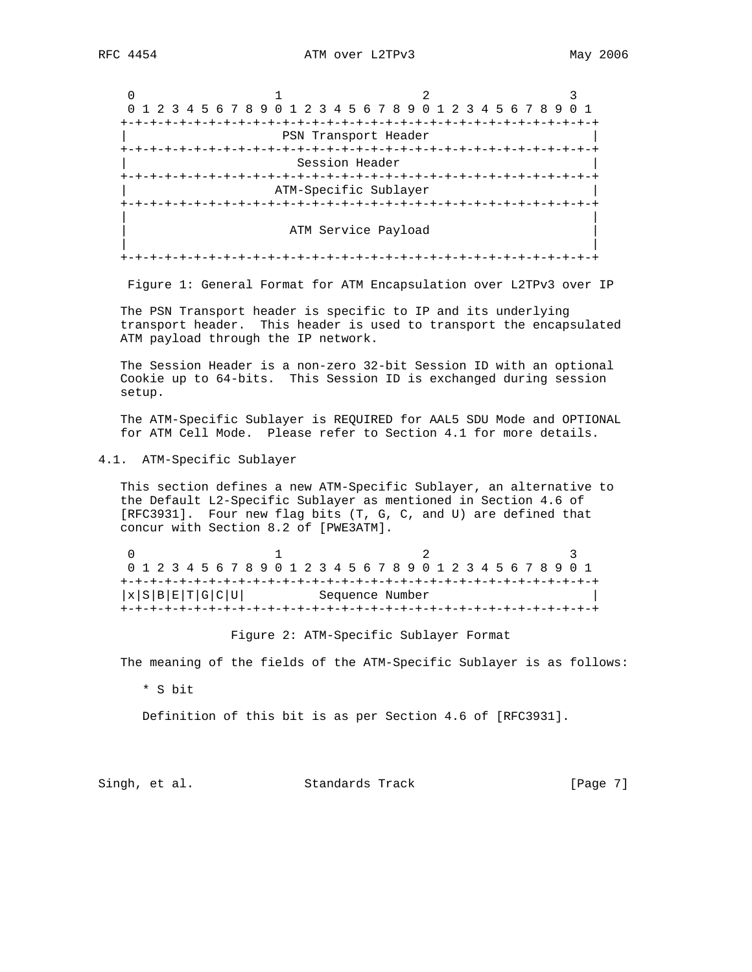0  $1$  2 3 0 1 2 3 4 5 6 7 8 9 0 1 2 3 4 5 6 7 8 9 0 1 2 3 4 5 6 7 8 9 0 1 +-+-+-+-+-+-+-+-+-+-+-+-+-+-+-+-+-+-+-+-+-+-+-+-+-+-+-+-+-+-+-+-+ PSN Transport Header +-+-+-+-+-+-+-+-+-+-+-+-+-+-+-+-+-+-+-+-+-+-+-+-+-+-+-+-+-+-+-+-+ Session Header +-+-+-+-+-+-+-+-+-+-+-+-+-+-+-+-+-+-+-+-+-+-+-+-+-+-+-+-+-+-+-+-+ ATM-Specific Sublayer +-+-+-+-+-+-+-+-+-+-+-+-+-+-+-+-+-+-+-+-+-+-+-+-+-+-+-+-+-+-+-+-+ | | ATM Service Payload | | +-+-+-+-+-+-+-+-+-+-+-+-+-+-+-+-+-+-+-+-+-+-+-+-+-+-+-+-+-+-+-+-+

Figure 1: General Format for ATM Encapsulation over L2TPv3 over IP

 The PSN Transport header is specific to IP and its underlying transport header. This header is used to transport the encapsulated ATM payload through the IP network.

 The Session Header is a non-zero 32-bit Session ID with an optional Cookie up to 64-bits. This Session ID is exchanged during session setup.

 The ATM-Specific Sublayer is REQUIRED for AAL5 SDU Mode and OPTIONAL for ATM Cell Mode. Please refer to Section 4.1 for more details.

4.1. ATM-Specific Sublayer

 This section defines a new ATM-Specific Sublayer, an alternative to the Default L2-Specific Sublayer as mentioned in Section 4.6 of [RFC3931]. Four new flag bits (T, G, C, and U) are defined that concur with Section 8.2 of [PWE3ATM].

0  $1$  2 3 0 1 2 3 4 5 6 7 8 9 0 1 2 3 4 5 6 7 8 9 0 1 2 3 4 5 6 7 8 9 0 1 +-+-+-+-+-+-+-+-+-+-+-+-+-+-+-+-+-+-+-+-+-+-+-+-+-+-+-+-+-+-+-+-+  $|x|S|B|E|T|G|C|U|$  Sequence Number +-+-+-+-+-+-+-+-+-+-+-+-+-+-+-+-+-+-+-+-+-+-+-+-+-+-+-+-+-+-+-+-+

Figure 2: ATM-Specific Sublayer Format

The meaning of the fields of the ATM-Specific Sublayer is as follows:

\* S bit

Definition of this bit is as per Section 4.6 of [RFC3931].

Singh, et al. Standards Track [Page 7]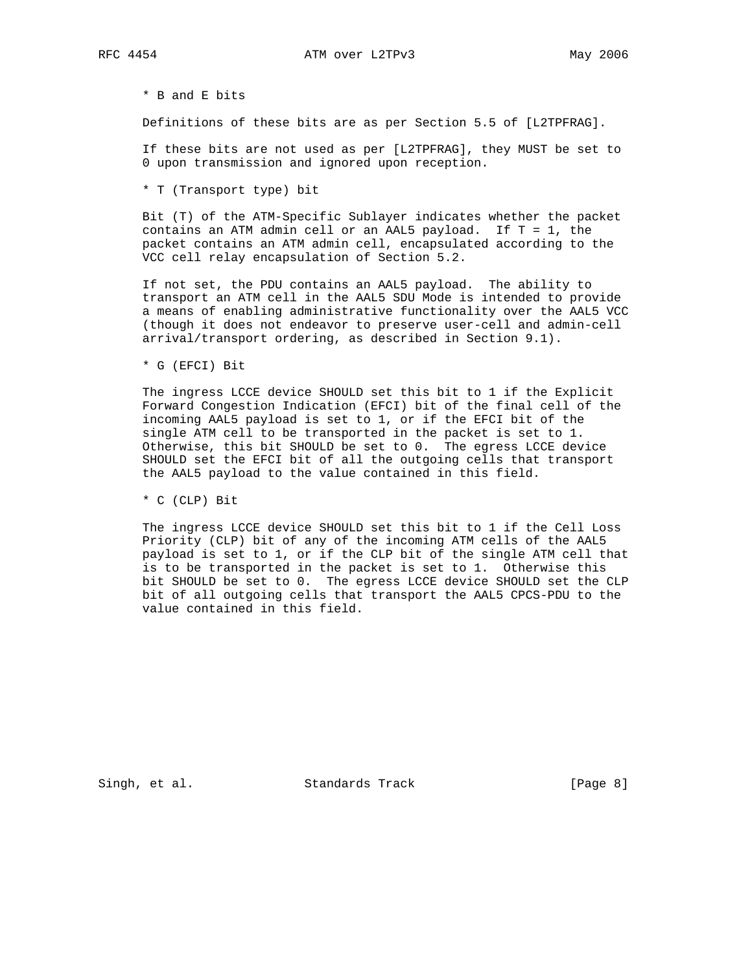\* B and E bits

Definitions of these bits are as per Section 5.5 of [L2TPFRAG].

 If these bits are not used as per [L2TPFRAG], they MUST be set to 0 upon transmission and ignored upon reception.

\* T (Transport type) bit

 Bit (T) of the ATM-Specific Sublayer indicates whether the packet contains an ATM admin cell or an AAL5 payload. If  $T = 1$ , the packet contains an ATM admin cell, encapsulated according to the VCC cell relay encapsulation of Section 5.2.

 If not set, the PDU contains an AAL5 payload. The ability to transport an ATM cell in the AAL5 SDU Mode is intended to provide a means of enabling administrative functionality over the AAL5 VCC (though it does not endeavor to preserve user-cell and admin-cell arrival/transport ordering, as described in Section 9.1).

\* G (EFCI) Bit

 The ingress LCCE device SHOULD set this bit to 1 if the Explicit Forward Congestion Indication (EFCI) bit of the final cell of the incoming AAL5 payload is set to 1, or if the EFCI bit of the single ATM cell to be transported in the packet is set to 1. Otherwise, this bit SHOULD be set to 0. The egress LCCE device SHOULD set the EFCI bit of all the outgoing cells that transport the AAL5 payload to the value contained in this field.

\* C (CLP) Bit

 The ingress LCCE device SHOULD set this bit to 1 if the Cell Loss Priority (CLP) bit of any of the incoming ATM cells of the AAL5 payload is set to 1, or if the CLP bit of the single ATM cell that is to be transported in the packet is set to 1. Otherwise this bit SHOULD be set to 0. The egress LCCE device SHOULD set the CLP bit of all outgoing cells that transport the AAL5 CPCS-PDU to the value contained in this field.

Singh, et al. Standards Track [Page 8]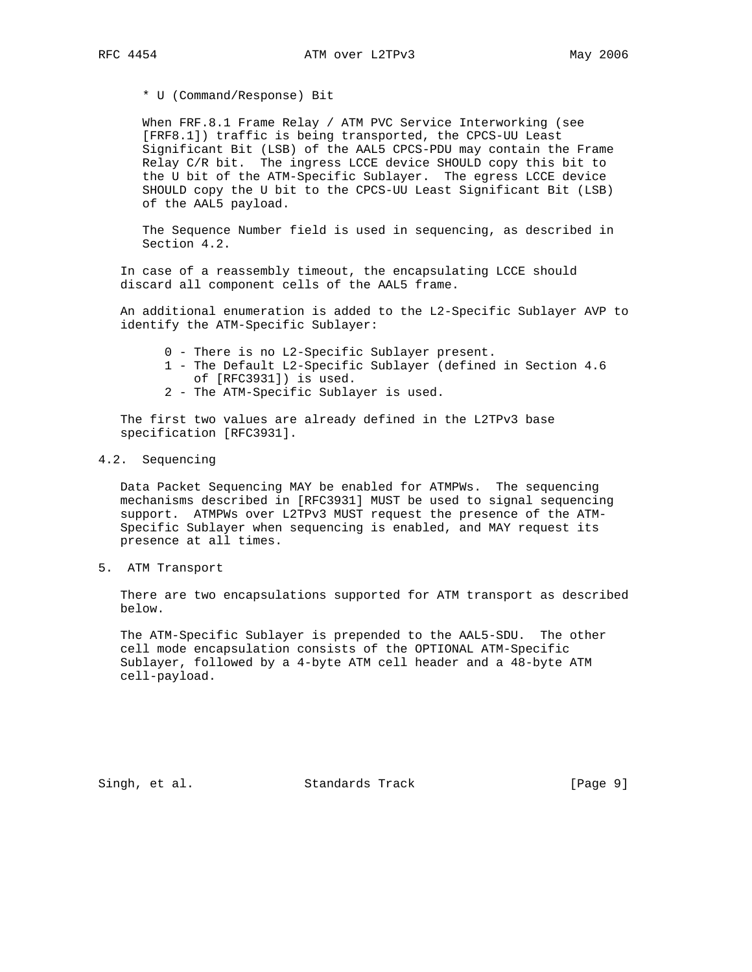\* U (Command/Response) Bit

 When FRF.8.1 Frame Relay / ATM PVC Service Interworking (see [FRF8.1]) traffic is being transported, the CPCS-UU Least Significant Bit (LSB) of the AAL5 CPCS-PDU may contain the Frame Relay C/R bit. The ingress LCCE device SHOULD copy this bit to the U bit of the ATM-Specific Sublayer. The egress LCCE device SHOULD copy the U bit to the CPCS-UU Least Significant Bit (LSB) of the AAL5 payload.

 The Sequence Number field is used in sequencing, as described in Section 4.2.

 In case of a reassembly timeout, the encapsulating LCCE should discard all component cells of the AAL5 frame.

 An additional enumeration is added to the L2-Specific Sublayer AVP to identify the ATM-Specific Sublayer:

- 0 There is no L2-Specific Sublayer present.
- 1 The Default L2-Specific Sublayer (defined in Section 4.6 of [RFC3931]) is used.
- 2 The ATM-Specific Sublayer is used.

 The first two values are already defined in the L2TPv3 base specification [RFC3931].

4.2. Sequencing

 Data Packet Sequencing MAY be enabled for ATMPWs. The sequencing mechanisms described in [RFC3931] MUST be used to signal sequencing support. ATMPWs over L2TPv3 MUST request the presence of the ATM- Specific Sublayer when sequencing is enabled, and MAY request its presence at all times.

5. ATM Transport

 There are two encapsulations supported for ATM transport as described below.

 The ATM-Specific Sublayer is prepended to the AAL5-SDU. The other cell mode encapsulation consists of the OPTIONAL ATM-Specific Sublayer, followed by a 4-byte ATM cell header and a 48-byte ATM cell-payload.

Singh, et al. Standards Track [Page 9]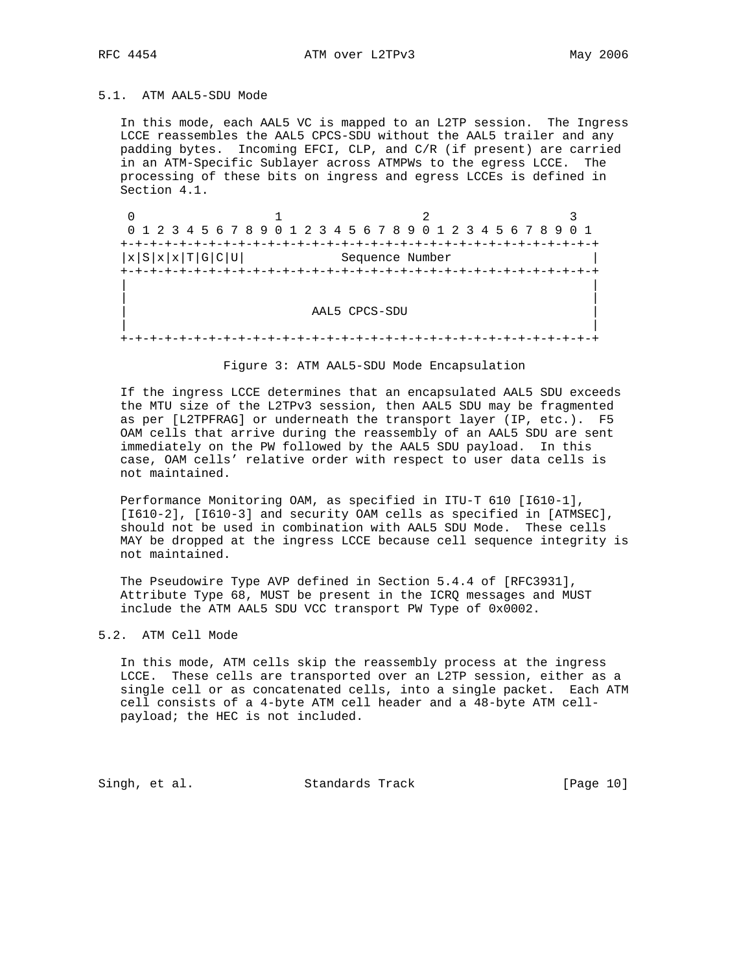## 5.1. ATM AAL5-SDU Mode

 In this mode, each AAL5 VC is mapped to an L2TP session. The Ingress LCCE reassembles the AAL5 CPCS-SDU without the AAL5 trailer and any padding bytes. Incoming EFCI, CLP, and C/R (if present) are carried in an ATM-Specific Sublayer across ATMPWs to the egress LCCE. The processing of these bits on ingress and egress LCCEs is defined in Section 4.1.

 $\begin{array}{ccccccc}\n0 & & & 1 & & & 2 & & 3\n\end{array}$  0 1 2 3 4 5 6 7 8 9 0 1 2 3 4 5 6 7 8 9 0 1 2 3 4 5 6 7 8 9 0 1 +-+-+-+-+-+-+-+-+-+-+-+-+-+-+-+-+-+-+-+-+-+-+-+-+-+-+-+-+-+-+-+-+  $|x|S|x|x|T|G|C|U|$  Sequence Number +-+-+-+-+-+-+-+-+-+-+-+-+-+-+-+-+-+-+-+-+-+-+-+-+-+-+-+-+-+-+-+-+ | | | | | AAL5 CPCS-SDU | | | +-+-+-+-+-+-+-+-+-+-+-+-+-+-+-+-+-+-+-+-+-+-+-+-+-+-+-+-+-+-+-+-+

#### Figure 3: ATM AAL5-SDU Mode Encapsulation

 If the ingress LCCE determines that an encapsulated AAL5 SDU exceeds the MTU size of the L2TPv3 session, then AAL5 SDU may be fragmented as per [L2TPFRAG] or underneath the transport layer (IP, etc.). F5 OAM cells that arrive during the reassembly of an AAL5 SDU are sent immediately on the PW followed by the AAL5 SDU payload. In this case, OAM cells' relative order with respect to user data cells is not maintained.

 Performance Monitoring OAM, as specified in ITU-T 610 [I610-1], [I610-2], [I610-3] and security OAM cells as specified in [ATMSEC], should not be used in combination with AAL5 SDU Mode. These cells MAY be dropped at the ingress LCCE because cell sequence integrity is not maintained.

 The Pseudowire Type AVP defined in Section 5.4.4 of [RFC3931], Attribute Type 68, MUST be present in the ICRQ messages and MUST include the ATM AAL5 SDU VCC transport PW Type of 0x0002.

#### 5.2. ATM Cell Mode

 In this mode, ATM cells skip the reassembly process at the ingress LCCE. These cells are transported over an L2TP session, either as a single cell or as concatenated cells, into a single packet. Each ATM cell consists of a 4-byte ATM cell header and a 48-byte ATM cell payload; the HEC is not included.

Singh, et al. Standards Track [Page 10]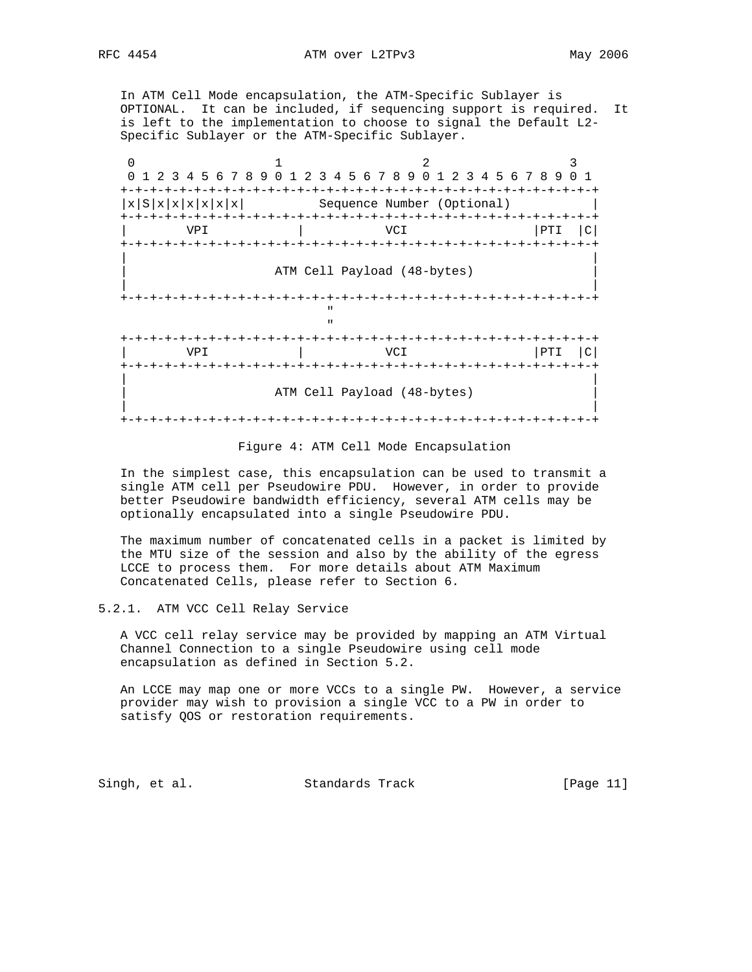In ATM Cell Mode encapsulation, the ATM-Specific Sublayer is OPTIONAL. It can be included, if sequencing support is required. It is left to the implementation to choose to signal the Default L2- Specific Sublayer or the ATM-Specific Sublayer.

0  $1$  2 3 0 1 2 3 4 5 6 7 8 9 0 1 2 3 4 5 6 7 8 9 0 1 2 3 4 5 6 7 8 9 0 1 +-+-+-+-+-+-+-+-+-+-+-+-+-+-+-+-+-+-+-+-+-+-+-+-+-+-+-+-+-+-+-+-+  $|x|S|x|x|x|x|$  Sequence Number (Optional) +-+-+-+-+-+-+-+-+-+-+-+-+-+-+-+-+-+-+-+-+-+-+-+-+-+-+-+-+-+-+-+-+ VPI | VCI +-+-+-+-+-+-+-+-+-+-+-+-+-+-+-+-+-+-+-+-+-+-+-+-+-+-+-+-+-+-+-+-+ | | ATM Cell Payload (48-bytes) | | +-+-+-+-+-+-+-+-+-+-+-+-+-+-+-+-+-+-+-+-+-+-+-+-+-+-+-+-+-+-+-+-+ " "The contract of the contract of the contract of the contract of the contract of the contract of the contract of the contract of the contract of the contract of the contract of the contract of the contract of the contrac " "The contract of the contract of the contract of the contract of the contract of the contract of the contract of the contract of the contract of the contract of the contract of the contract of the contract of the contrac +-+-+-+-+-+-+-+-+-+-+-+-+-+-+-+-+-+-+-+-+-+-+-+-+-+-+-+-+-+-+-+-+ | VPI | VCI | PTI |C| +-+-+-+-+-+-+-+-+-+-+-+-+-+-+-+-+-+-+-+-+-+-+-+-+-+-+-+-+-+-+-+-+ | | ATM Cell Payload (48-bytes) | | +-+-+-+-+-+-+-+-+-+-+-+-+-+-+-+-+-+-+-+-+-+-+-+-+-+-+-+-+-+-+-+-+

Figure 4: ATM Cell Mode Encapsulation

 In the simplest case, this encapsulation can be used to transmit a single ATM cell per Pseudowire PDU. However, in order to provide better Pseudowire bandwidth efficiency, several ATM cells may be optionally encapsulated into a single Pseudowire PDU.

 The maximum number of concatenated cells in a packet is limited by the MTU size of the session and also by the ability of the egress LCCE to process them. For more details about ATM Maximum Concatenated Cells, please refer to Section 6.

## 5.2.1. ATM VCC Cell Relay Service

 A VCC cell relay service may be provided by mapping an ATM Virtual Channel Connection to a single Pseudowire using cell mode encapsulation as defined in Section 5.2.

 An LCCE may map one or more VCCs to a single PW. However, a service provider may wish to provision a single VCC to a PW in order to satisfy QOS or restoration requirements.

Singh, et al. Standards Track [Page 11]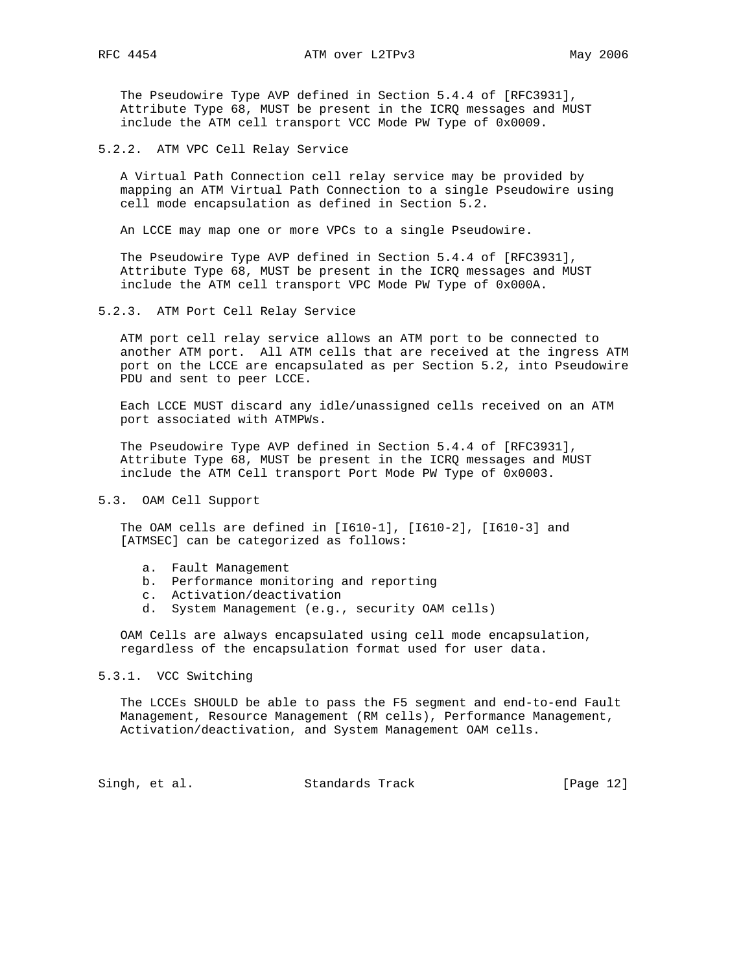The Pseudowire Type AVP defined in Section 5.4.4 of [RFC3931], Attribute Type 68, MUST be present in the ICRQ messages and MUST include the ATM cell transport VCC Mode PW Type of 0x0009.

5.2.2. ATM VPC Cell Relay Service

 A Virtual Path Connection cell relay service may be provided by mapping an ATM Virtual Path Connection to a single Pseudowire using cell mode encapsulation as defined in Section 5.2.

An LCCE may map one or more VPCs to a single Pseudowire.

 The Pseudowire Type AVP defined in Section 5.4.4 of [RFC3931], Attribute Type 68, MUST be present in the ICRQ messages and MUST include the ATM cell transport VPC Mode PW Type of 0x000A.

5.2.3. ATM Port Cell Relay Service

 ATM port cell relay service allows an ATM port to be connected to another ATM port. All ATM cells that are received at the ingress ATM port on the LCCE are encapsulated as per Section 5.2, into Pseudowire PDU and sent to peer LCCE.

 Each LCCE MUST discard any idle/unassigned cells received on an ATM port associated with ATMPWs.

 The Pseudowire Type AVP defined in Section 5.4.4 of [RFC3931], Attribute Type 68, MUST be present in the ICRQ messages and MUST include the ATM Cell transport Port Mode PW Type of 0x0003.

5.3. OAM Cell Support

 The OAM cells are defined in [I610-1], [I610-2], [I610-3] and [ATMSEC] can be categorized as follows:

- a. Fault Management
- b. Performance monitoring and reporting
- c. Activation/deactivation
- d. System Management (e.g., security OAM cells)

 OAM Cells are always encapsulated using cell mode encapsulation, regardless of the encapsulation format used for user data.

## 5.3.1. VCC Switching

 The LCCEs SHOULD be able to pass the F5 segment and end-to-end Fault Management, Resource Management (RM cells), Performance Management, Activation/deactivation, and System Management OAM cells.

Singh, et al. Standards Track [Page 12]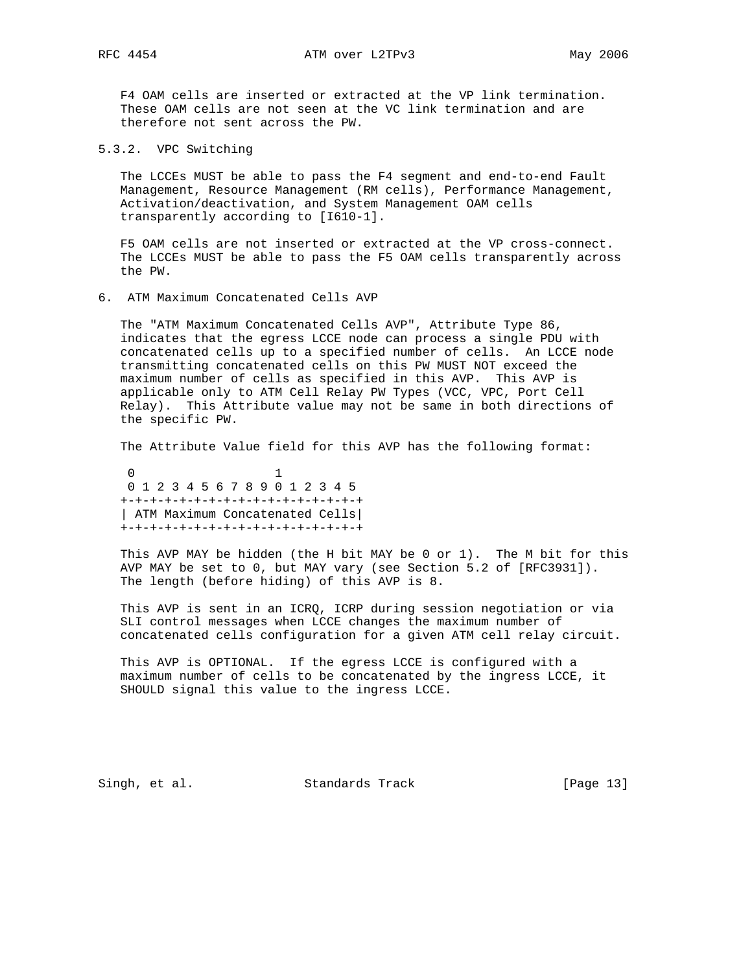F4 OAM cells are inserted or extracted at the VP link termination. These OAM cells are not seen at the VC link termination and are therefore not sent across the PW.

5.3.2. VPC Switching

 The LCCEs MUST be able to pass the F4 segment and end-to-end Fault Management, Resource Management (RM cells), Performance Management, Activation/deactivation, and System Management OAM cells transparently according to [I610-1].

 F5 OAM cells are not inserted or extracted at the VP cross-connect. The LCCEs MUST be able to pass the F5 OAM cells transparently across the PW.

6. ATM Maximum Concatenated Cells AVP

 The "ATM Maximum Concatenated Cells AVP", Attribute Type 86, indicates that the egress LCCE node can process a single PDU with concatenated cells up to a specified number of cells. An LCCE node transmitting concatenated cells on this PW MUST NOT exceed the maximum number of cells as specified in this AVP. This AVP is applicable only to ATM Cell Relay PW Types (VCC, VPC, Port Cell Relay). This Attribute value may not be same in both directions of the specific PW.

The Attribute Value field for this AVP has the following format:

 0 1 0 1 2 3 4 5 6 7 8 9 0 1 2 3 4 5 +-+-+-+-+-+-+-+-+-+-+-+-+-+-+-+-+ | ATM Maximum Concatenated Cells| +-+-+-+-+-+-+-+-+-+-+-+-+-+-+-+-+

 This AVP MAY be hidden (the H bit MAY be 0 or 1). The M bit for this AVP MAY be set to 0, but MAY vary (see Section 5.2 of [RFC3931]). The length (before hiding) of this AVP is 8.

 This AVP is sent in an ICRQ, ICRP during session negotiation or via SLI control messages when LCCE changes the maximum number of concatenated cells configuration for a given ATM cell relay circuit.

 This AVP is OPTIONAL. If the egress LCCE is configured with a maximum number of cells to be concatenated by the ingress LCCE, it SHOULD signal this value to the ingress LCCE.

Singh, et al. Standards Track [Page 13]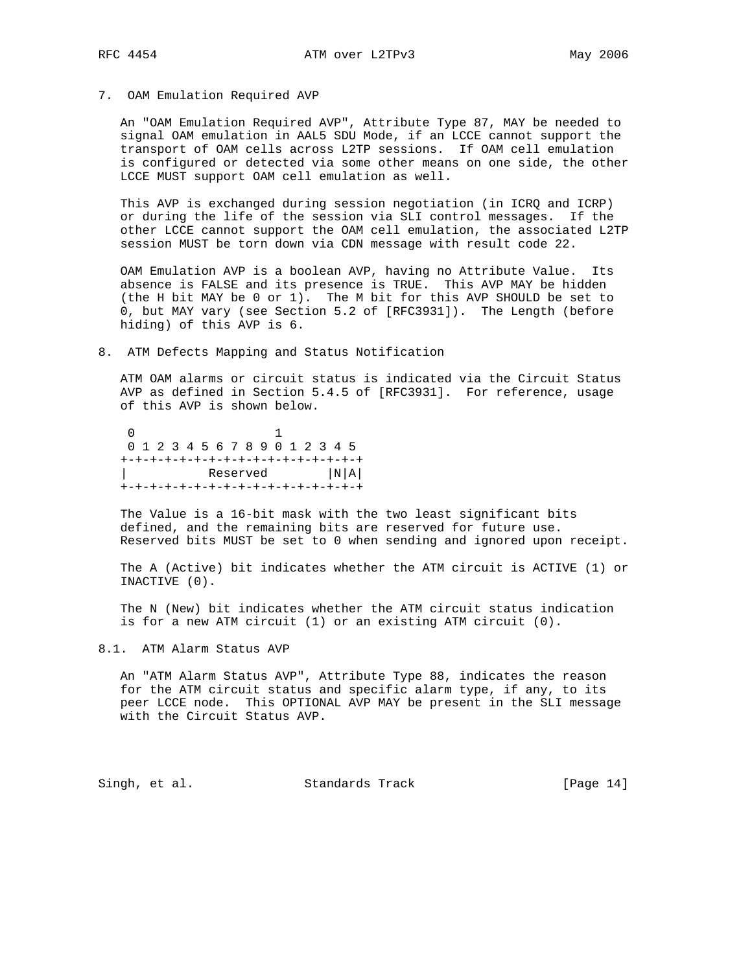7. OAM Emulation Required AVP

 An "OAM Emulation Required AVP", Attribute Type 87, MAY be needed to signal OAM emulation in AAL5 SDU Mode, if an LCCE cannot support the transport of OAM cells across L2TP sessions. If OAM cell emulation is configured or detected via some other means on one side, the other LCCE MUST support OAM cell emulation as well.

 This AVP is exchanged during session negotiation (in ICRQ and ICRP) or during the life of the session via SLI control messages. If the other LCCE cannot support the OAM cell emulation, the associated L2TP session MUST be torn down via CDN message with result code 22.

 OAM Emulation AVP is a boolean AVP, having no Attribute Value. Its absence is FALSE and its presence is TRUE. This AVP MAY be hidden (the H bit MAY be 0 or 1). The M bit for this AVP SHOULD be set to 0, but MAY vary (see Section 5.2 of [RFC3931]). The Length (before hiding) of this AVP is 6.

8. ATM Defects Mapping and Status Notification

 ATM OAM alarms or circuit status is indicated via the Circuit Status AVP as defined in Section 5.4.5 of [RFC3931]. For reference, usage of this AVP is shown below.

 0 1 0 1 2 3 4 5 6 7 8 9 0 1 2 3 4 5 +-+-+-+-+-+-+-+-+-+-+-+-+-+-+-+-+ | Reserved |N|A| +-+-+-+-+-+-+-+-+-+-+-+-+-+-+-+-+

 The Value is a 16-bit mask with the two least significant bits defined, and the remaining bits are reserved for future use. Reserved bits MUST be set to 0 when sending and ignored upon receipt.

 The A (Active) bit indicates whether the ATM circuit is ACTIVE (1) or INACTIVE (0).

 The N (New) bit indicates whether the ATM circuit status indication is for a new ATM circuit (1) or an existing ATM circuit (0).

## 8.1. ATM Alarm Status AVP

 An "ATM Alarm Status AVP", Attribute Type 88, indicates the reason for the ATM circuit status and specific alarm type, if any, to its peer LCCE node. This OPTIONAL AVP MAY be present in the SLI message with the Circuit Status AVP.

Singh, et al. Standards Track [Page 14]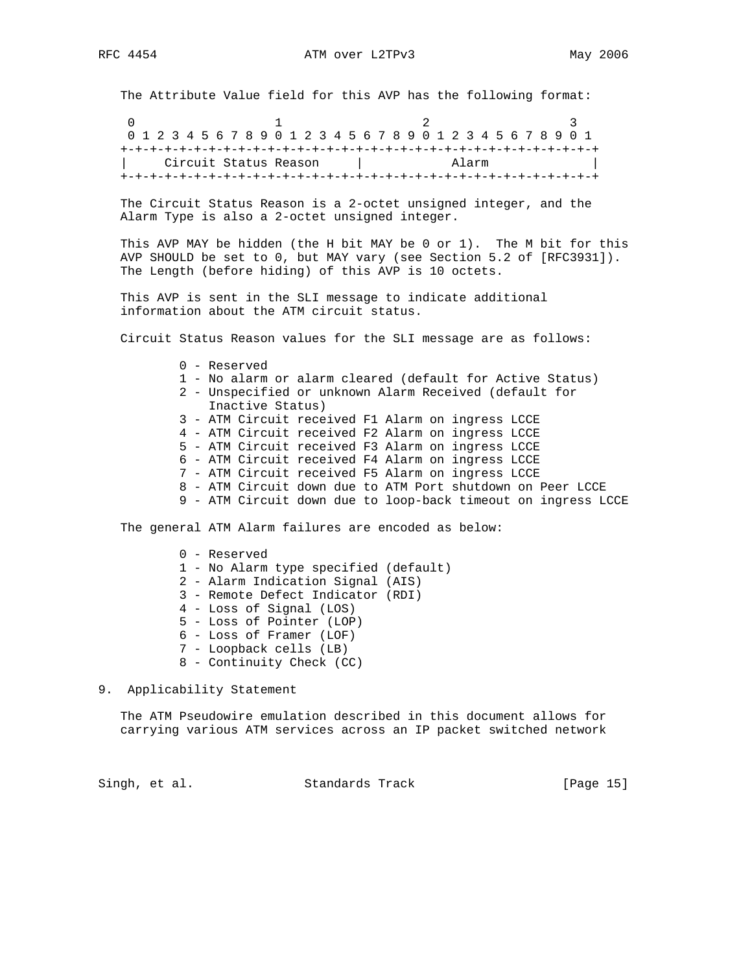The Attribute Value field for this AVP has the following format:

0  $1$  2 3 0 1 2 3 4 5 6 7 8 9 0 1 2 3 4 5 6 7 8 9 0 1 2 3 4 5 6 7 8 9 0 1 +-+-+-+-+-+-+-+-+-+-+-+-+-+-+-+-+-+-+-+-+-+-+-+-+-+-+-+-+-+-+-+-+ | Circuit Status Reason | Alarm | +-+-+-+-+-+-+-+-+-+-+-+-+-+-+-+-+-+-+-+-+-+-+-+-+-+-+-+-+-+-+-+-+

 The Circuit Status Reason is a 2-octet unsigned integer, and the Alarm Type is also a 2-octet unsigned integer.

 This AVP MAY be hidden (the H bit MAY be 0 or 1). The M bit for this AVP SHOULD be set to 0, but MAY vary (see Section 5.2 of [RFC3931]). The Length (before hiding) of this AVP is 10 octets.

 This AVP is sent in the SLI message to indicate additional information about the ATM circuit status.

Circuit Status Reason values for the SLI message are as follows:

- 0 Reserved
- 1 No alarm or alarm cleared (default for Active Status)
- 2 Unspecified or unknown Alarm Received (default for Inactive Status)
- 3 ATM Circuit received F1 Alarm on ingress LCCE
- 4 ATM Circuit received F2 Alarm on ingress LCCE
- 5 ATM Circuit received F3 Alarm on ingress LCCE
- 6 ATM Circuit received F4 Alarm on ingress LCCE
- 7 ATM Circuit received F5 Alarm on ingress LCCE
- 8 ATM Circuit down due to ATM Port shutdown on Peer LCCE
- 9 ATM Circuit down due to loop-back timeout on ingress LCCE

The general ATM Alarm failures are encoded as below:

- 0 Reserved 1 - No Alarm type specified (default) 2 - Alarm Indication Signal (AIS) 3 - Remote Defect Indicator (RDI) 4 - Loss of Signal (LOS) 5 - Loss of Pointer (LOP) 6 - Loss of Framer (LOF) 7 - Loopback cells (LB) 8 - Continuity Check (CC)
- 9. Applicability Statement

 The ATM Pseudowire emulation described in this document allows for carrying various ATM services across an IP packet switched network

Singh, et al. Standards Track [Page 15]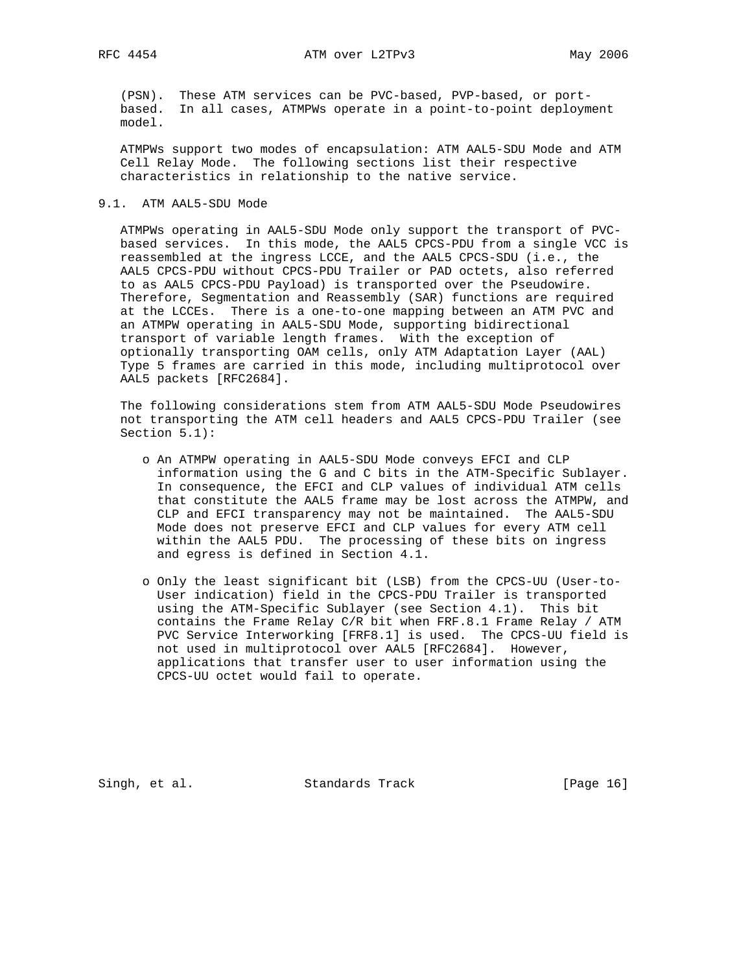RFC 4454 ATM over L2TPv3 May 2006

 (PSN). These ATM services can be PVC-based, PVP-based, or port based. In all cases, ATMPWs operate in a point-to-point deployment model.

 ATMPWs support two modes of encapsulation: ATM AAL5-SDU Mode and ATM Cell Relay Mode. The following sections list their respective characteristics in relationship to the native service.

#### 9.1. ATM AAL5-SDU Mode

 ATMPWs operating in AAL5-SDU Mode only support the transport of PVC based services. In this mode, the AAL5 CPCS-PDU from a single VCC is reassembled at the ingress LCCE, and the AAL5 CPCS-SDU (i.e., the AAL5 CPCS-PDU without CPCS-PDU Trailer or PAD octets, also referred to as AAL5 CPCS-PDU Payload) is transported over the Pseudowire. Therefore, Segmentation and Reassembly (SAR) functions are required at the LCCEs. There is a one-to-one mapping between an ATM PVC and an ATMPW operating in AAL5-SDU Mode, supporting bidirectional transport of variable length frames. With the exception of optionally transporting OAM cells, only ATM Adaptation Layer (AAL) Type 5 frames are carried in this mode, including multiprotocol over AAL5 packets [RFC2684].

 The following considerations stem from ATM AAL5-SDU Mode Pseudowires not transporting the ATM cell headers and AAL5 CPCS-PDU Trailer (see Section 5.1):

- o An ATMPW operating in AAL5-SDU Mode conveys EFCI and CLP information using the G and C bits in the ATM-Specific Sublayer. In consequence, the EFCI and CLP values of individual ATM cells that constitute the AAL5 frame may be lost across the ATMPW, and CLP and EFCI transparency may not be maintained. The AAL5-SDU Mode does not preserve EFCI and CLP values for every ATM cell within the AAL5 PDU. The processing of these bits on ingress and egress is defined in Section 4.1.
- o Only the least significant bit (LSB) from the CPCS-UU (User-to- User indication) field in the CPCS-PDU Trailer is transported using the ATM-Specific Sublayer (see Section 4.1). This bit contains the Frame Relay C/R bit when FRF.8.1 Frame Relay / ATM PVC Service Interworking [FRF8.1] is used. The CPCS-UU field is not used in multiprotocol over AAL5 [RFC2684]. However, applications that transfer user to user information using the CPCS-UU octet would fail to operate.

Singh, et al. Standards Track [Page 16]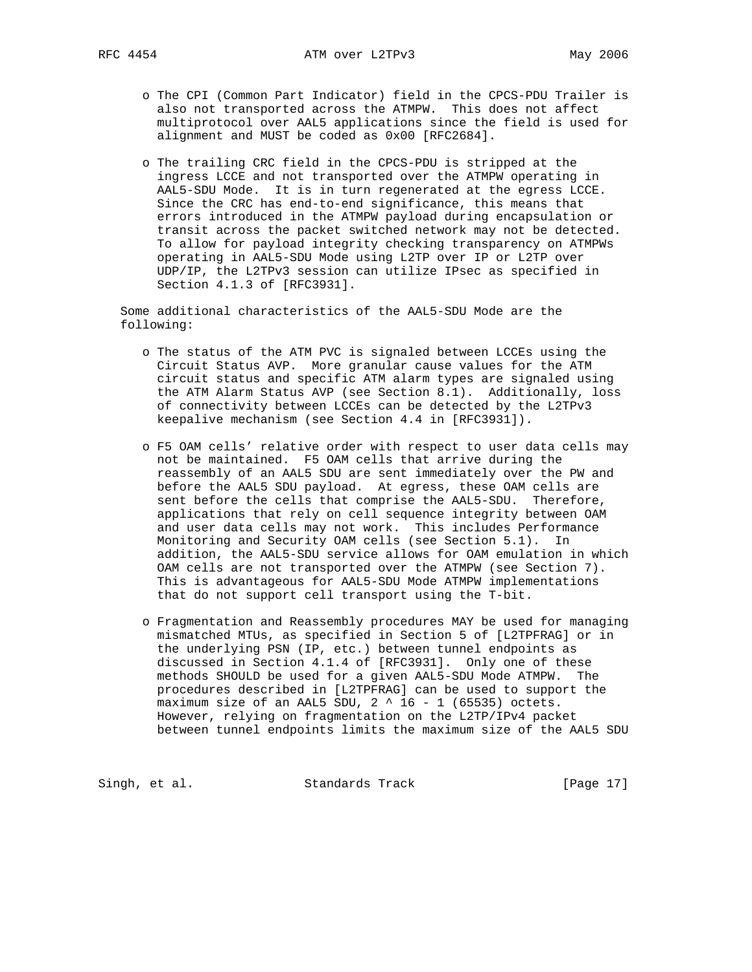- o The CPI (Common Part Indicator) field in the CPCS-PDU Trailer is also not transported across the ATMPW. This does not affect multiprotocol over AAL5 applications since the field is used for alignment and MUST be coded as 0x00 [RFC2684].
- o The trailing CRC field in the CPCS-PDU is stripped at the ingress LCCE and not transported over the ATMPW operating in AAL5-SDU Mode. It is in turn regenerated at the egress LCCE. Since the CRC has end-to-end significance, this means that errors introduced in the ATMPW payload during encapsulation or transit across the packet switched network may not be detected. To allow for payload integrity checking transparency on ATMPWs operating in AAL5-SDU Mode using L2TP over IP or L2TP over UDP/IP, the L2TPv3 session can utilize IPsec as specified in Section 4.1.3 of [RFC3931].

 Some additional characteristics of the AAL5-SDU Mode are the following:

- o The status of the ATM PVC is signaled between LCCEs using the Circuit Status AVP. More granular cause values for the ATM circuit status and specific ATM alarm types are signaled using the ATM Alarm Status AVP (see Section 8.1). Additionally, loss of connectivity between LCCEs can be detected by the L2TPv3 keepalive mechanism (see Section 4.4 in [RFC3931]).
- o F5 OAM cells' relative order with respect to user data cells may not be maintained. F5 OAM cells that arrive during the reassembly of an AAL5 SDU are sent immediately over the PW and before the AAL5 SDU payload. At egress, these OAM cells are sent before the cells that comprise the AAL5-SDU. Therefore, applications that rely on cell sequence integrity between OAM and user data cells may not work. This includes Performance Monitoring and Security OAM cells (see Section 5.1). In addition, the AAL5-SDU service allows for OAM emulation in which OAM cells are not transported over the ATMPW (see Section 7). This is advantageous for AAL5-SDU Mode ATMPW implementations that do not support cell transport using the T-bit.
- o Fragmentation and Reassembly procedures MAY be used for managing mismatched MTUs, as specified in Section 5 of [L2TPFRAG] or in the underlying PSN (IP, etc.) between tunnel endpoints as discussed in Section 4.1.4 of [RFC3931]. Only one of these methods SHOULD be used for a given AAL5-SDU Mode ATMPW. The procedures described in [L2TPFRAG] can be used to support the maximum size of an AAL5 SDU,  $2 \land 16 - 1$  (65535) octets. However, relying on fragmentation on the L2TP/IPv4 packet between tunnel endpoints limits the maximum size of the AAL5 SDU

Singh, et al. Standards Track [Page 17]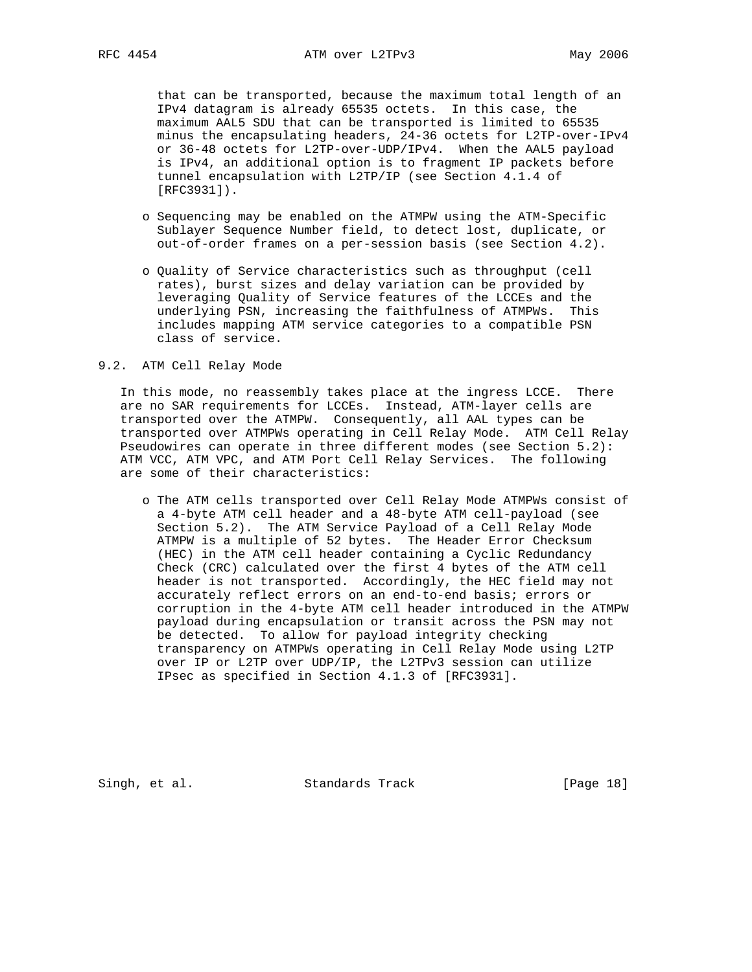that can be transported, because the maximum total length of an IPv4 datagram is already 65535 octets. In this case, the maximum AAL5 SDU that can be transported is limited to 65535 minus the encapsulating headers, 24-36 octets for L2TP-over-IPv4 or 36-48 octets for L2TP-over-UDP/IPv4. When the AAL5 payload is IPv4, an additional option is to fragment IP packets before tunnel encapsulation with L2TP/IP (see Section 4.1.4 of [RFC3931]).

- o Sequencing may be enabled on the ATMPW using the ATM-Specific Sublayer Sequence Number field, to detect lost, duplicate, or out-of-order frames on a per-session basis (see Section 4.2).
- o Quality of Service characteristics such as throughput (cell rates), burst sizes and delay variation can be provided by leveraging Quality of Service features of the LCCEs and the underlying PSN, increasing the faithfulness of ATMPWs. This includes mapping ATM service categories to a compatible PSN class of service.

#### 9.2. ATM Cell Relay Mode

 In this mode, no reassembly takes place at the ingress LCCE. There are no SAR requirements for LCCEs. Instead, ATM-layer cells are transported over the ATMPW. Consequently, all AAL types can be transported over ATMPWs operating in Cell Relay Mode. ATM Cell Relay Pseudowires can operate in three different modes (see Section 5.2): ATM VCC, ATM VPC, and ATM Port Cell Relay Services. The following are some of their characteristics:

 o The ATM cells transported over Cell Relay Mode ATMPWs consist of a 4-byte ATM cell header and a 48-byte ATM cell-payload (see Section 5.2). The ATM Service Payload of a Cell Relay Mode ATMPW is a multiple of 52 bytes. The Header Error Checksum (HEC) in the ATM cell header containing a Cyclic Redundancy Check (CRC) calculated over the first 4 bytes of the ATM cell header is not transported. Accordingly, the HEC field may not accurately reflect errors on an end-to-end basis; errors or corruption in the 4-byte ATM cell header introduced in the ATMPW payload during encapsulation or transit across the PSN may not be detected. To allow for payload integrity checking transparency on ATMPWs operating in Cell Relay Mode using L2TP over IP or L2TP over UDP/IP, the L2TPv3 session can utilize IPsec as specified in Section 4.1.3 of [RFC3931].

Singh, et al. Standards Track [Page 18]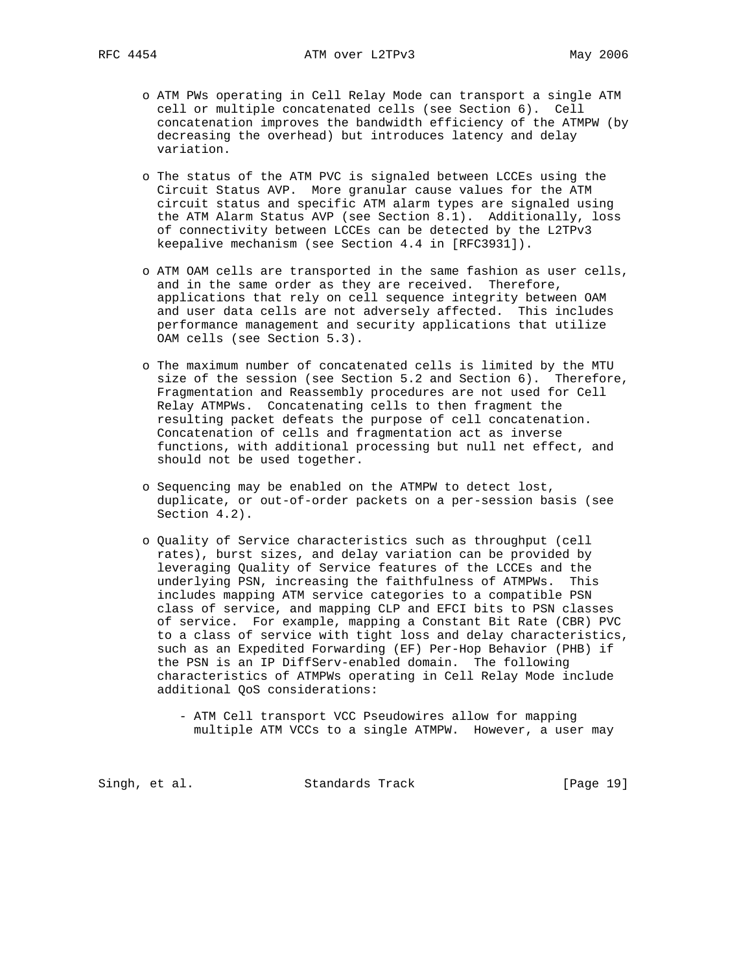- o ATM PWs operating in Cell Relay Mode can transport a single ATM cell or multiple concatenated cells (see Section 6). Cell concatenation improves the bandwidth efficiency of the ATMPW (by decreasing the overhead) but introduces latency and delay variation.
- o The status of the ATM PVC is signaled between LCCEs using the Circuit Status AVP. More granular cause values for the ATM circuit status and specific ATM alarm types are signaled using the ATM Alarm Status AVP (see Section 8.1). Additionally, loss of connectivity between LCCEs can be detected by the L2TPv3 keepalive mechanism (see Section 4.4 in [RFC3931]).
- o ATM OAM cells are transported in the same fashion as user cells, and in the same order as they are received. Therefore, applications that rely on cell sequence integrity between OAM and user data cells are not adversely affected. This includes performance management and security applications that utilize OAM cells (see Section 5.3).
- o The maximum number of concatenated cells is limited by the MTU size of the session (see Section 5.2 and Section 6). Therefore, Fragmentation and Reassembly procedures are not used for Cell Relay ATMPWs. Concatenating cells to then fragment the resulting packet defeats the purpose of cell concatenation. Concatenation of cells and fragmentation act as inverse functions, with additional processing but null net effect, and should not be used together.
- o Sequencing may be enabled on the ATMPW to detect lost, duplicate, or out-of-order packets on a per-session basis (see Section 4.2).
- o Quality of Service characteristics such as throughput (cell rates), burst sizes, and delay variation can be provided by leveraging Quality of Service features of the LCCEs and the underlying PSN, increasing the faithfulness of ATMPWs. This includes mapping ATM service categories to a compatible PSN class of service, and mapping CLP and EFCI bits to PSN classes of service. For example, mapping a Constant Bit Rate (CBR) PVC to a class of service with tight loss and delay characteristics, such as an Expedited Forwarding (EF) Per-Hop Behavior (PHB) if the PSN is an IP DiffServ-enabled domain. The following characteristics of ATMPWs operating in Cell Relay Mode include additional QoS considerations:
	- ATM Cell transport VCC Pseudowires allow for mapping multiple ATM VCCs to a single ATMPW. However, a user may

Singh, et al. Standards Track [Page 19]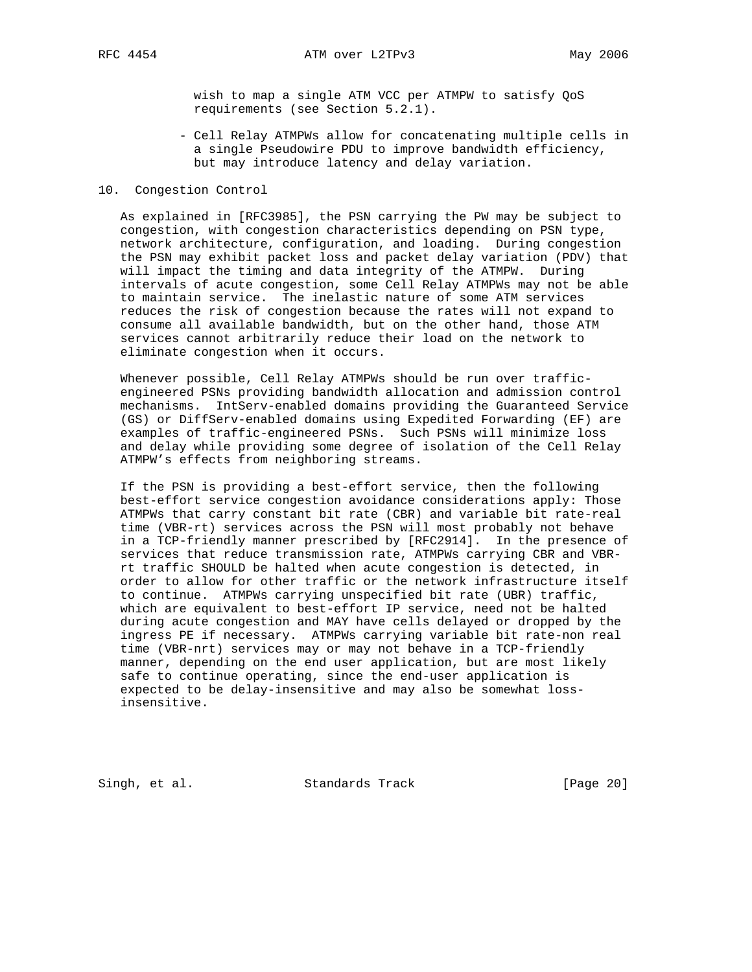wish to map a single ATM VCC per ATMPW to satisfy QoS requirements (see Section 5.2.1).

 - Cell Relay ATMPWs allow for concatenating multiple cells in a single Pseudowire PDU to improve bandwidth efficiency, but may introduce latency and delay variation.

### 10. Congestion Control

 As explained in [RFC3985], the PSN carrying the PW may be subject to congestion, with congestion characteristics depending on PSN type, network architecture, configuration, and loading. During congestion the PSN may exhibit packet loss and packet delay variation (PDV) that will impact the timing and data integrity of the ATMPW. During intervals of acute congestion, some Cell Relay ATMPWs may not be able to maintain service. The inelastic nature of some ATM services reduces the risk of congestion because the rates will not expand to consume all available bandwidth, but on the other hand, those ATM services cannot arbitrarily reduce their load on the network to eliminate congestion when it occurs.

 Whenever possible, Cell Relay ATMPWs should be run over traffic engineered PSNs providing bandwidth allocation and admission control mechanisms. IntServ-enabled domains providing the Guaranteed Service (GS) or DiffServ-enabled domains using Expedited Forwarding (EF) are examples of traffic-engineered PSNs. Such PSNs will minimize loss and delay while providing some degree of isolation of the Cell Relay ATMPW's effects from neighboring streams.

 If the PSN is providing a best-effort service, then the following best-effort service congestion avoidance considerations apply: Those ATMPWs that carry constant bit rate (CBR) and variable bit rate-real time (VBR-rt) services across the PSN will most probably not behave in a TCP-friendly manner prescribed by [RFC2914]. In the presence of services that reduce transmission rate, ATMPWs carrying CBR and VBR rt traffic SHOULD be halted when acute congestion is detected, in order to allow for other traffic or the network infrastructure itself to continue. ATMPWs carrying unspecified bit rate (UBR) traffic, which are equivalent to best-effort IP service, need not be halted during acute congestion and MAY have cells delayed or dropped by the ingress PE if necessary. ATMPWs carrying variable bit rate-non real time (VBR-nrt) services may or may not behave in a TCP-friendly manner, depending on the end user application, but are most likely safe to continue operating, since the end-user application is expected to be delay-insensitive and may also be somewhat loss insensitive.

Singh, et al. Standards Track [Page 20]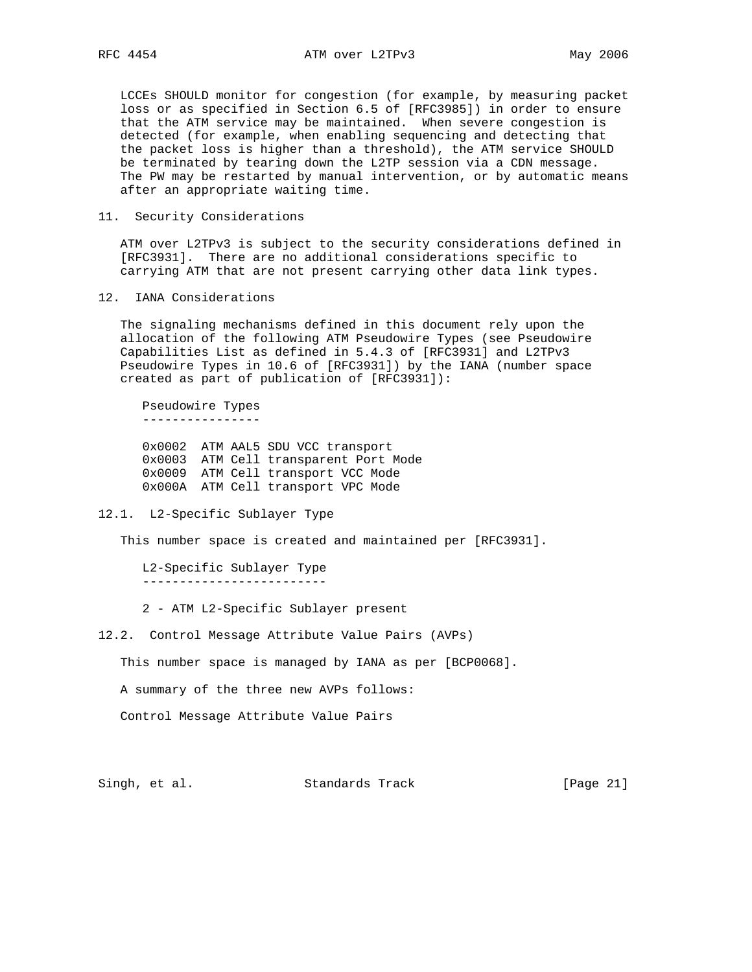LCCEs SHOULD monitor for congestion (for example, by measuring packet loss or as specified in Section 6.5 of [RFC3985]) in order to ensure that the ATM service may be maintained. When severe congestion is detected (for example, when enabling sequencing and detecting that the packet loss is higher than a threshold), the ATM service SHOULD be terminated by tearing down the L2TP session via a CDN message. The PW may be restarted by manual intervention, or by automatic means after an appropriate waiting time.

11. Security Considerations

 ATM over L2TPv3 is subject to the security considerations defined in [RFC3931]. There are no additional considerations specific to carrying ATM that are not present carrying other data link types.

12. IANA Considerations

 The signaling mechanisms defined in this document rely upon the allocation of the following ATM Pseudowire Types (see Pseudowire Capabilities List as defined in 5.4.3 of [RFC3931] and L2TPv3 Pseudowire Types in 10.6 of [RFC3931]) by the IANA (number space created as part of publication of [RFC3931]):

 Pseudowire Types ----------------

 0x0002 ATM AAL5 SDU VCC transport 0x0003 ATM Cell transparent Port Mode 0x0009 ATM Cell transport VCC Mode 0x000A ATM Cell transport VPC Mode

12.1. L2-Specific Sublayer Type

This number space is created and maintained per [RFC3931].

 L2-Specific Sublayer Type -------------------------

2 - ATM L2-Specific Sublayer present

12.2. Control Message Attribute Value Pairs (AVPs)

This number space is managed by IANA as per [BCP0068].

A summary of the three new AVPs follows:

Control Message Attribute Value Pairs

Singh, et al. Standards Track [Page 21]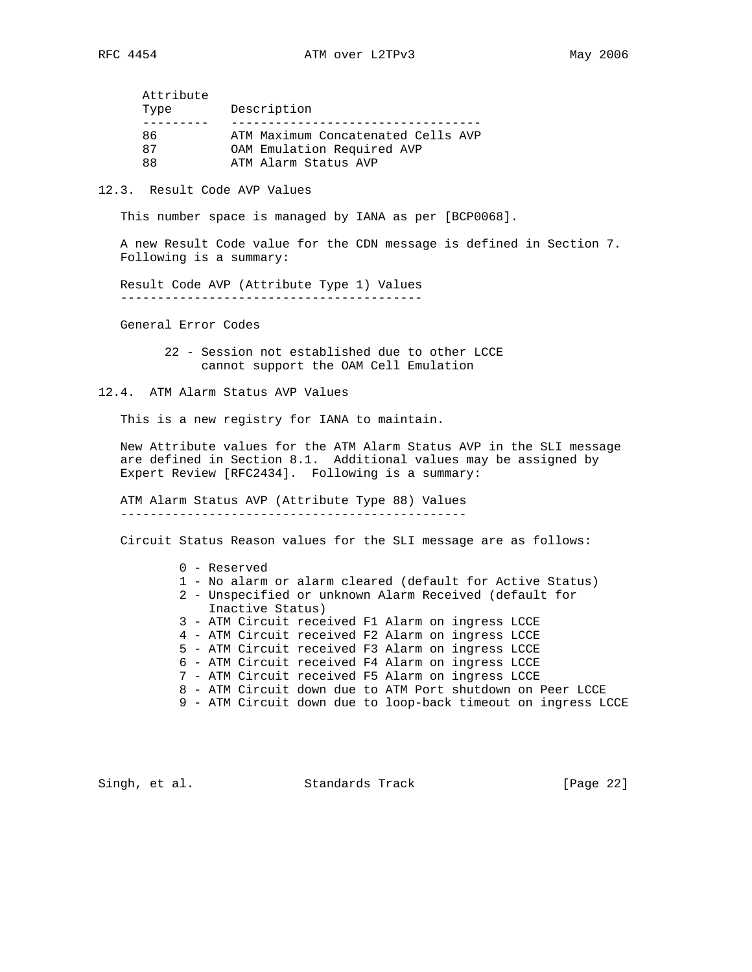| Attribute |                                    |
|-----------|------------------------------------|
| Type      | Description                        |
|           |                                    |
| 86        | ATM Maximum Concatenated Cells AVP |
| 87        | OAM Emulation Required AVP         |
| 88        | ATM Alarm Status AVP               |

12.3. Result Code AVP Values

This number space is managed by IANA as per [BCP0068].

 A new Result Code value for the CDN message is defined in Section 7. Following is a summary:

 Result Code AVP (Attribute Type 1) Values -----------------------------------------

General Error Codes

 22 - Session not established due to other LCCE cannot support the OAM Cell Emulation

12.4. ATM Alarm Status AVP Values

This is a new registry for IANA to maintain.

 New Attribute values for the ATM Alarm Status AVP in the SLI message are defined in Section 8.1. Additional values may be assigned by Expert Review [RFC2434]. Following is a summary:

 ATM Alarm Status AVP (Attribute Type 88) Values -----------------------------------------------

Circuit Status Reason values for the SLI message are as follows:

## 0 - Reserved

- 1 No alarm or alarm cleared (default for Active Status)
- 2 Unspecified or unknown Alarm Received (default for Inactive Status)
- 3 ATM Circuit received F1 Alarm on ingress LCCE
- 4 ATM Circuit received F2 Alarm on ingress LCCE
- 5 ATM Circuit received F3 Alarm on ingress LCCE
- 6 ATM Circuit received F4 Alarm on ingress LCCE
- 7 ATM Circuit received F5 Alarm on ingress LCCE
- 8 ATM Circuit down due to ATM Port shutdown on Peer LCCE
- 9 ATM Circuit down due to loop-back timeout on ingress LCCE

Singh, et al. Standards Track [Page 22]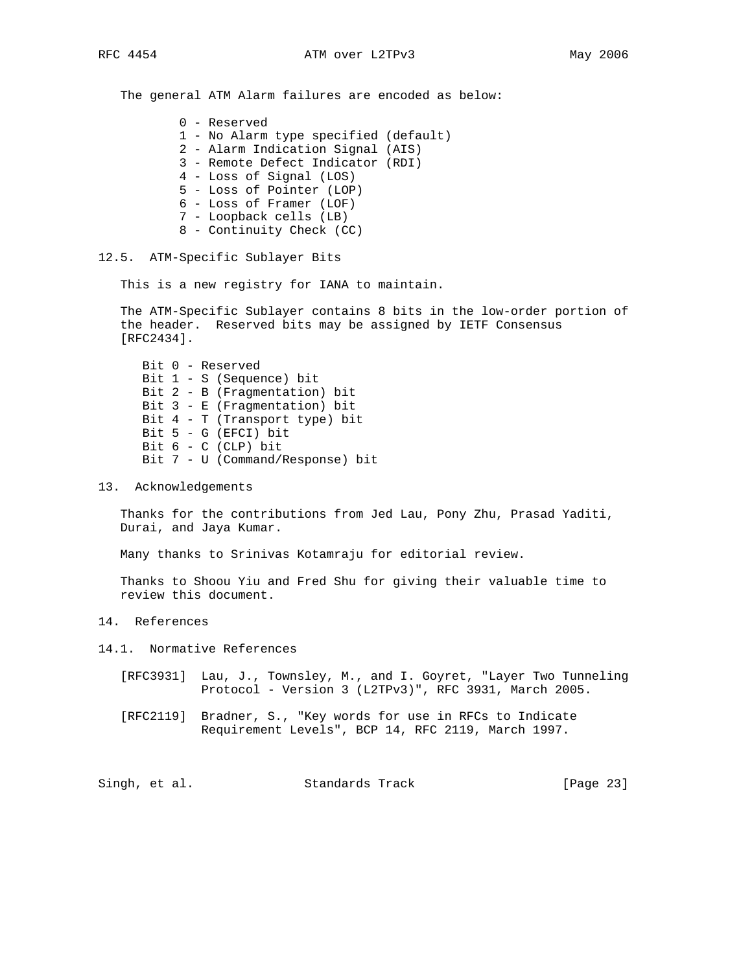The general ATM Alarm failures are encoded as below:

0 - Reserved

- 1 No Alarm type specified (default)
- 2 Alarm Indication Signal (AIS)
- 3 Remote Defect Indicator (RDI)
- 4 Loss of Signal (LOS)
- 5 Loss of Pointer (LOP)
- 6 Loss of Framer (LOF)
- 7 Loopback cells (LB)
- 8 Continuity Check (CC)

## 12.5. ATM-Specific Sublayer Bits

This is a new registry for IANA to maintain.

 The ATM-Specific Sublayer contains 8 bits in the low-order portion of the header. Reserved bits may be assigned by IETF Consensus [RFC2434].

 Bit 0 - Reserved Bit 1 - S (Sequence) bit Bit 2 - B (Fragmentation) bit Bit 3 - E (Fragmentation) bit Bit 4 - T (Transport type) bit Bit 5 - G (EFCI) bit Bit  $6 - C$  (CLP) bit Bit 7 - U (Command/Response) bit

13. Acknowledgements

 Thanks for the contributions from Jed Lau, Pony Zhu, Prasad Yaditi, Durai, and Jaya Kumar.

Many thanks to Srinivas Kotamraju for editorial review.

 Thanks to Shoou Yiu and Fred Shu for giving their valuable time to review this document.

14. References

14.1. Normative References

- [RFC3931] Lau, J., Townsley, M., and I. Goyret, "Layer Two Tunneling Protocol - Version 3 (L2TPv3)", RFC 3931, March 2005.
- [RFC2119] Bradner, S., "Key words for use in RFCs to Indicate Requirement Levels", BCP 14, RFC 2119, March 1997.

Singh, et al. Standards Track [Page 23]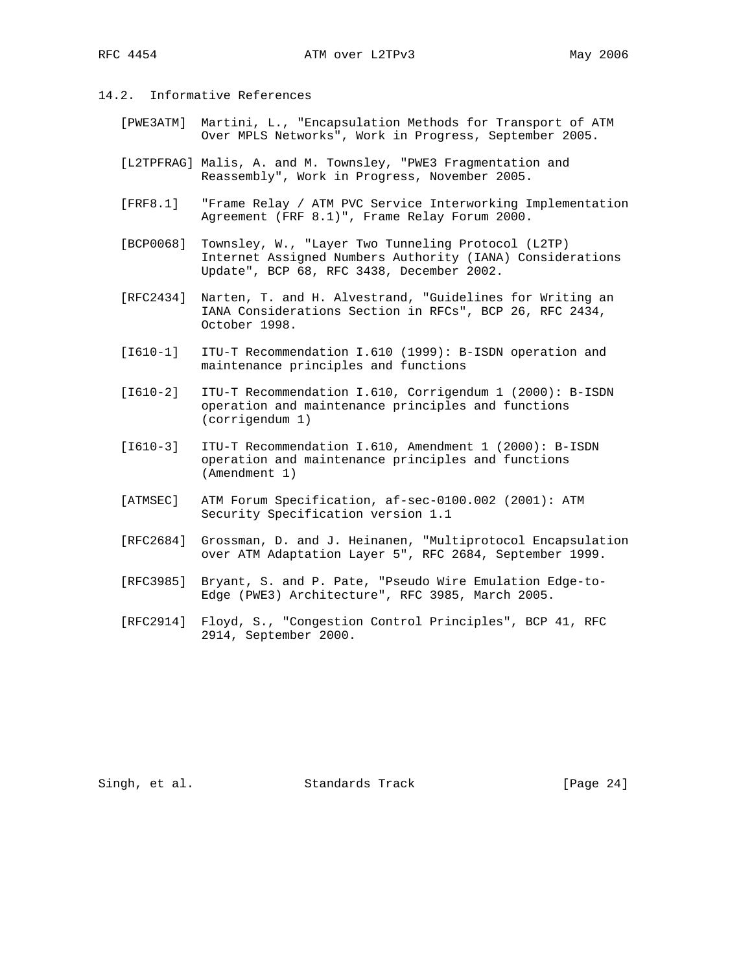- 14.2. Informative References
	- [PWE3ATM] Martini, L., "Encapsulation Methods for Transport of ATM Over MPLS Networks", Work in Progress, September 2005.
	- [L2TPFRAG] Malis, A. and M. Townsley, "PWE3 Fragmentation and Reassembly", Work in Progress, November 2005.
	- [FRF8.1] "Frame Relay / ATM PVC Service Interworking Implementation Agreement (FRF 8.1)", Frame Relay Forum 2000.
	- [BCP0068] Townsley, W., "Layer Two Tunneling Protocol (L2TP) Internet Assigned Numbers Authority (IANA) Considerations Update", BCP 68, RFC 3438, December 2002.
	- [RFC2434] Narten, T. and H. Alvestrand, "Guidelines for Writing an IANA Considerations Section in RFCs", BCP 26, RFC 2434, October 1998.
	- [I610-1] ITU-T Recommendation I.610 (1999): B-ISDN operation and maintenance principles and functions
	- [I610-2] ITU-T Recommendation I.610, Corrigendum 1 (2000): B-ISDN operation and maintenance principles and functions (corrigendum 1)
	- [I610-3] ITU-T Recommendation I.610, Amendment 1 (2000): B-ISDN operation and maintenance principles and functions (Amendment 1)
	- [ATMSEC] ATM Forum Specification, af-sec-0100.002 (2001): ATM Security Specification version 1.1
	- [RFC2684] Grossman, D. and J. Heinanen, "Multiprotocol Encapsulation over ATM Adaptation Layer 5", RFC 2684, September 1999.
	- [RFC3985] Bryant, S. and P. Pate, "Pseudo Wire Emulation Edge-to- Edge (PWE3) Architecture", RFC 3985, March 2005.
	- [RFC2914] Floyd, S., "Congestion Control Principles", BCP 41, RFC 2914, September 2000.

Singh, et al. Standards Track [Page 24]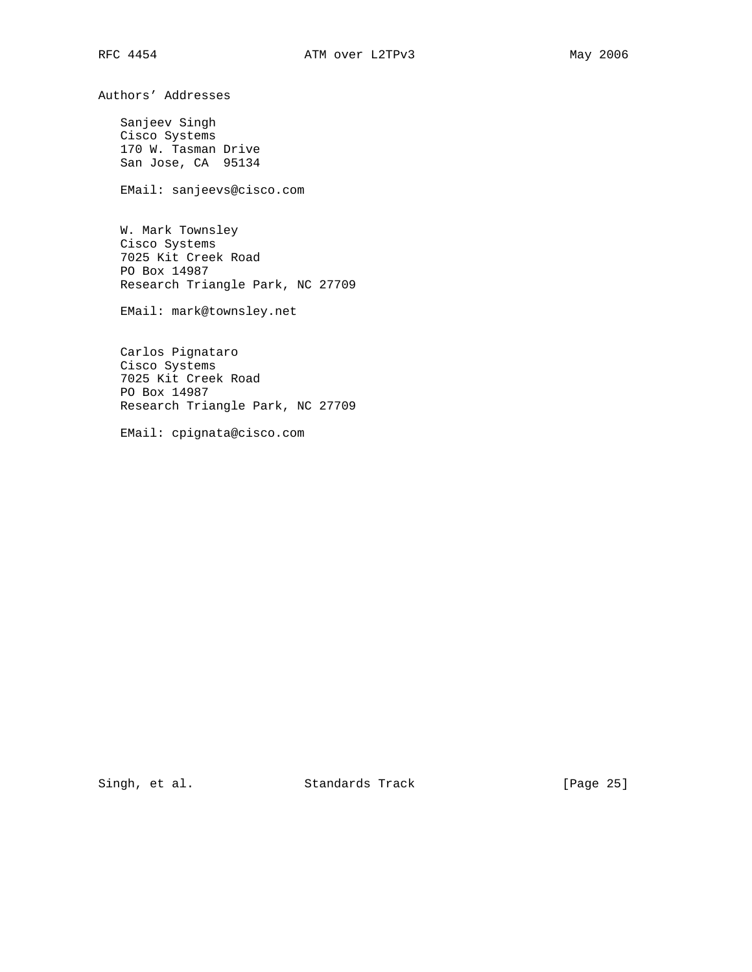Authors' Addresses

 Sanjeev Singh Cisco Systems 170 W. Tasman Drive San Jose, CA 95134

EMail: sanjeevs@cisco.com

 W. Mark Townsley Cisco Systems 7025 Kit Creek Road PO Box 14987 Research Triangle Park, NC 27709

EMail: mark@townsley.net

 Carlos Pignataro Cisco Systems 7025 Kit Creek Road PO Box 14987 Research Triangle Park, NC 27709

EMail: cpignata@cisco.com

Singh, et al. Standards Track [Page 25]